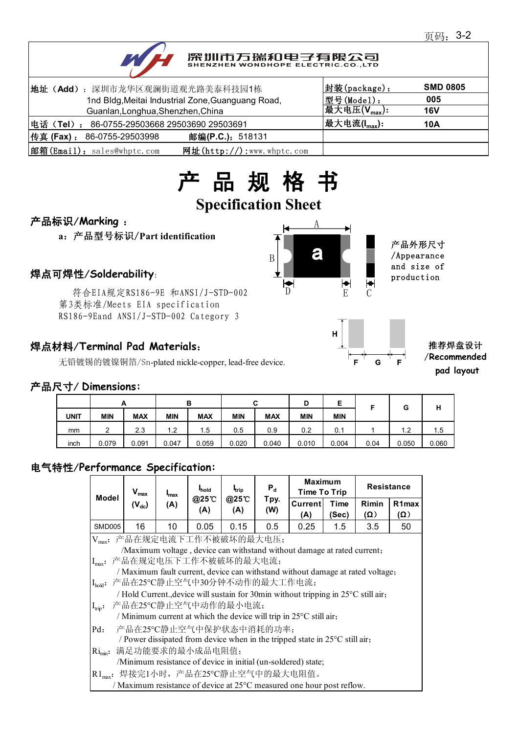# 深圳市万瑞和电子有限公司

| 地址 (Add): 深圳市龙华区观澜街道观光路美泰科技园1栋                              | 封装(package):              | <b>SMD 0805</b> |
|-------------------------------------------------------------|---------------------------|-----------------|
| 1nd Bldg, Meitai Industrial Zone, Guanguang Road,           | 型号(Model):                | 005             |
| Guanlan, Longhua, Shenzhen, China                           | 最大电压 $(V_{\text{max}})$ : | <b>16V</b>      |
| 电话(Tel): 86-0755-29503668 29503690 29503691                 | 最大电流(I <sub>max</sub> ):  | 10A             |
| 传真 (Fax) : 86-0755-29503998<br>邮编(P.C.): 518131             |                           |                 |
| 邮箱(Email): sales@whptc.com<br>网址( $http://$ ):www.whptc.com |                           |                 |

# 产 品 规 格 书

# **Specification Sheet**

## 产品标识/**Marking** :

**a**:产品型号标识/**Part identification**

.<br>符合EIA规定RS186-9E 和ANSI/J-STD-002 D 第3类标准/Meets EIA specification RS186-9Eand ANSI/J-STD-002 Category 3

### 焊点材料/**Terminal Pad Materials**:

无铅镀锡的镀镍铜箔/Sn-plated nickle-copper, lead-free device.





#### 推荐焊盘设计 /**Recommended pad layout**

#### 产品尺寸/ **Dimensions:**

|             | А          |            |            | в          |            | ◠<br>ື     | D          | E          |      | G     | н     |
|-------------|------------|------------|------------|------------|------------|------------|------------|------------|------|-------|-------|
| <b>UNIT</b> | <b>MIN</b> | <b>MAX</b> | <b>MIN</b> | <b>MAX</b> | <b>MIN</b> | <b>MAX</b> | <b>MIN</b> | <b>MIN</b> |      |       |       |
| mm          | 2          | 2.3        | 1.2        | 1.5        | 0.5        | 0.9        | 0.2        | 0.1        |      | 1.2   | 1.5   |
| inch        | 0.079      | 0.091      | 0.047      | 0.059      | 0.020      | 0.040      | 0.010      | 0.004      | 0.04 | 0.050 | 0.060 |

## 电气特性/**Performance Specification:**

| <b>Model</b>                                                                 | $V_{\text{max}}$                                                                   | $I_{\text{max}}$ | <b>I</b> hold   | <b>I</b> trip | $P_d$       | <b>Maximum</b><br>Time To Trip |               | <b>Resistance</b>   |                                  |  |  |
|------------------------------------------------------------------------------|------------------------------------------------------------------------------------|------------------|-----------------|---------------|-------------|--------------------------------|---------------|---------------------|----------------------------------|--|--|
|                                                                              | $(V_{dc})$                                                                         | (A)              | @25°C<br>(A)    | @25°C<br>(A)  | Tpy.<br>(W) | Currentl<br>(A)                | Time<br>(Sec) | Rimin<br>$(\Omega)$ | R <sub>1</sub> max<br>$(\Omega)$ |  |  |
| SMD005                                                                       | 16                                                                                 | 10               | 0.05            | 0.15          | 0.5         | 0.25                           | $1.5\,$       | 3.5                 | 50                               |  |  |
| 产品在规定电流下工作不被破坏的最大电压;<br>$V_{\text{max}}$ :                                   |                                                                                    |                  |                 |               |             |                                |               |                     |                                  |  |  |
|                                                                              | /Maximum voltage, device can withstand without damage at rated current;            |                  |                 |               |             |                                |               |                     |                                  |  |  |
|                                                                              | Imax: 产品在规定电压下工作不被破坏的最大电流;                                                         |                  |                 |               |             |                                |               |                     |                                  |  |  |
|                                                                              | / Maximum fault current, device can withstand without damage at rated voltage;     |                  |                 |               |             |                                |               |                     |                                  |  |  |
| $I_{hold}$ :                                                                 | 产品在25℃静止空气中30分钟不动作的最大工作电流;                                                         |                  |                 |               |             |                                |               |                     |                                  |  |  |
|                                                                              | / Hold Current., device will sustain for 30min without tripping in 25°C still air, |                  |                 |               |             |                                |               |                     |                                  |  |  |
| $I_{\text{trip}}$ :                                                          | 产品在25°C静止空气中动作的最小电流;                                                               |                  |                 |               |             |                                |               |                     |                                  |  |  |
| / Minimum current at which the device will trip in $25^{\circ}$ C still air, |                                                                                    |                  |                 |               |             |                                |               |                     |                                  |  |  |
| $Pd$ :                                                                       | 产品在25℃静止空气中保护状态中消耗的功率;                                                             |                  |                 |               |             |                                |               |                     |                                  |  |  |
|                                                                              | / Power dissipated from device when in the tripped state in 25°C still air,        |                  |                 |               |             |                                |               |                     |                                  |  |  |
| $\text{Ri}_{\text{min}}$ :                                                   |                                                                                    |                  | 满足功能要求的最小成品电阻值; |               |             |                                |               |                     |                                  |  |  |
|                                                                              | /Minimum resistance of device in initial (un-soldered) state;                      |                  |                 |               |             |                                |               |                     |                                  |  |  |
|                                                                              | R1 <sub>max</sub> : 焊接完1小时, 产品在25℃静止空气中的最大电阻值。                                     |                  |                 |               |             |                                |               |                     |                                  |  |  |
|                                                                              | / Maximum resistance of device at 25°C measured one hour post reflow.              |                  |                 |               |             |                                |               |                     |                                  |  |  |